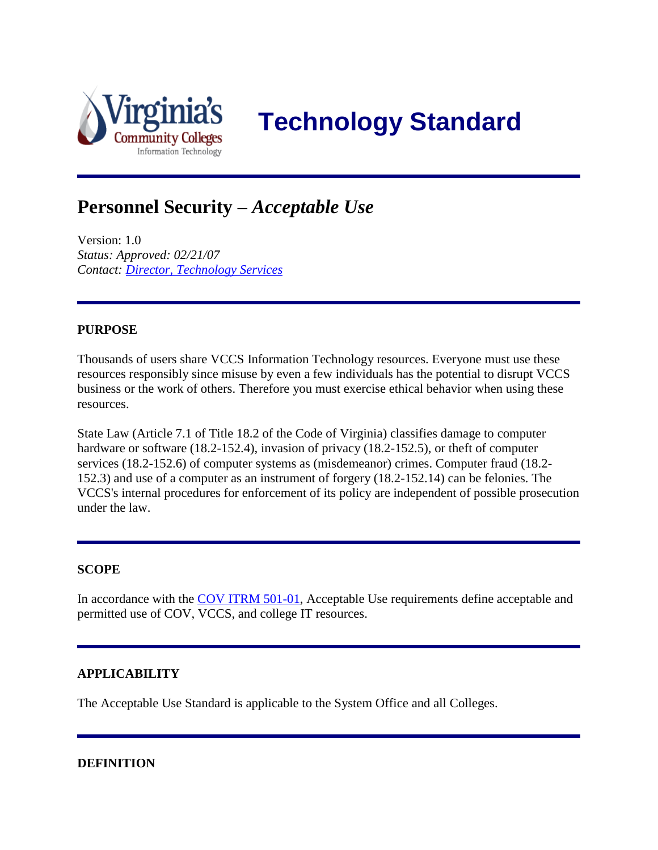

 **Technology Standard**

# **Personnel Security –** *Acceptable Use*

Version: 1.0 *Status: Approved: 02/21/07 Contact: [Director, Technology Services](mailto:JDavis@vccs.edu)*

### **PURPOSE**

Thousands of users share VCCS Information Technology resources. Everyone must use these resources responsibly since misuse by even a few individuals has the potential to disrupt VCCS business or the work of others. Therefore you must exercise ethical behavior when using these resources.

State Law (Article 7.1 of Title 18.2 of the Code of Virginia) classifies damage to computer hardware or software (18.2-152.4), invasion of privacy (18.2-152.5), or theft of computer services (18.2-152.6) of computer systems as (misdemeanor) crimes. Computer fraud (18.2- 152.3) and use of a computer as an instrument of forgery (18.2-152.14) can be felonies. The VCCS's internal procedures for enforcement of its policy are independent of possible prosecution under the law.

#### **SCOPE**

In accordance with the [COV ITRM 501-01,](http://www.vita.virginia.gov/uploadedFiles/Library/PSGs/ITRMSEC501-01ITSecStd.pdf) Acceptable Use requirements define acceptable and permitted use of COV, VCCS, and college IT resources.

#### **APPLICABILITY**

The Acceptable Use Standard is applicable to the System Office and all Colleges.

#### **DEFINITION**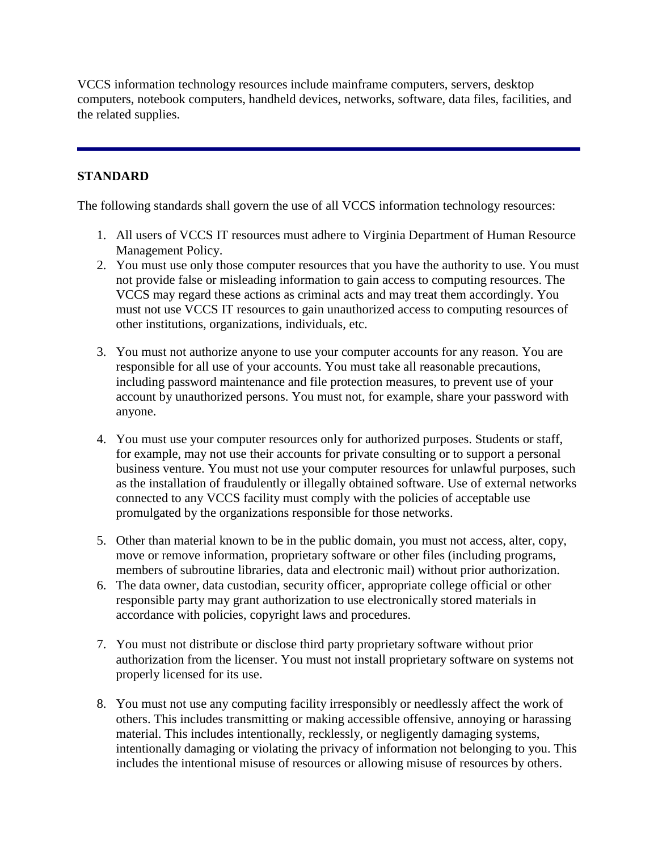VCCS information technology resources include mainframe computers, servers, desktop computers, notebook computers, handheld devices, networks, software, data files, facilities, and the related supplies.

## **STANDARD**

The following standards shall govern the use of all VCCS information technology resources:

- 1. All users of VCCS IT resources must adhere to Virginia Department of Human Resource Management Policy.
- 2. You must use only those computer resources that you have the authority to use. You must not provide false or misleading information to gain access to computing resources. The VCCS may regard these actions as criminal acts and may treat them accordingly. You must not use VCCS IT resources to gain unauthorized access to computing resources of other institutions, organizations, individuals, etc.
- 3. You must not authorize anyone to use your computer accounts for any reason. You are responsible for all use of your accounts. You must take all reasonable precautions, including password maintenance and file protection measures, to prevent use of your account by unauthorized persons. You must not, for example, share your password with anyone.
- 4. You must use your computer resources only for authorized purposes. Students or staff, for example, may not use their accounts for private consulting or to support a personal business venture. You must not use your computer resources for unlawful purposes, such as the installation of fraudulently or illegally obtained software. Use of external networks connected to any VCCS facility must comply with the policies of acceptable use promulgated by the organizations responsible for those networks.
- 5. Other than material known to be in the public domain, you must not access, alter, copy, move or remove information, proprietary software or other files (including programs, members of subroutine libraries, data and electronic mail) without prior authorization.
- 6. The data owner, data custodian, security officer, appropriate college official or other responsible party may grant authorization to use electronically stored materials in accordance with policies, copyright laws and procedures.
- 7. You must not distribute or disclose third party proprietary software without prior authorization from the licenser. You must not install proprietary software on systems not properly licensed for its use.
- 8. You must not use any computing facility irresponsibly or needlessly affect the work of others. This includes transmitting or making accessible offensive, annoying or harassing material. This includes intentionally, recklessly, or negligently damaging systems, intentionally damaging or violating the privacy of information not belonging to you. This includes the intentional misuse of resources or allowing misuse of resources by others.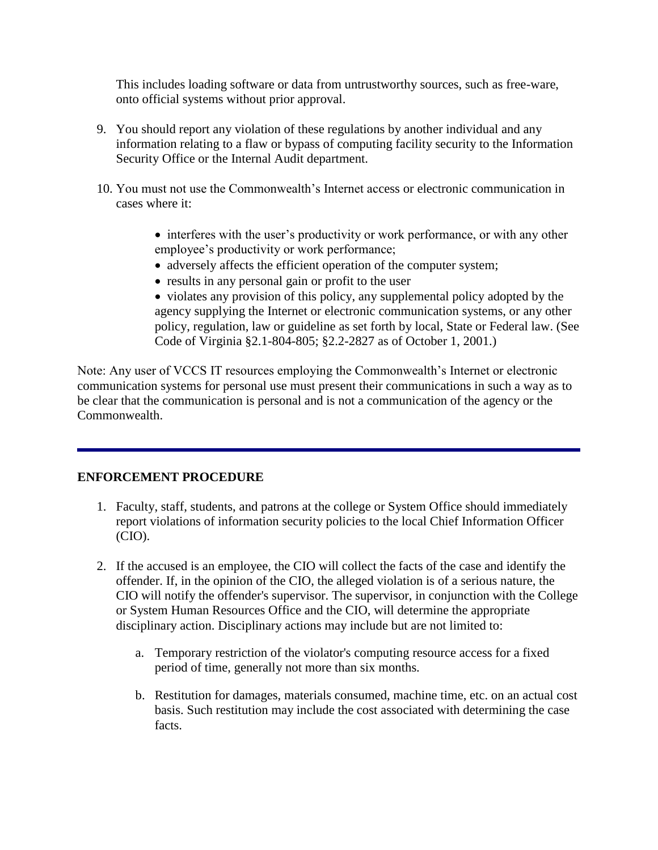This includes loading software or data from untrustworthy sources, such as free-ware, onto official systems without prior approval.

- 9. You should report any violation of these regulations by another individual and any information relating to a flaw or bypass of computing facility security to the Information Security Office or the Internal Audit department.
- 10. You must not use the Commonwealth's Internet access or electronic communication in cases where it:
	- interferes with the user's productivity or work performance, or with any other employee's productivity or work performance;
	- adversely affects the efficient operation of the computer system;
	- results in any personal gain or profit to the user
	- violates any provision of this policy, any supplemental policy adopted by the agency supplying the Internet or electronic communication systems, or any other policy, regulation, law or guideline as set forth by local, State or Federal law. (See Code of Virginia §2.1-804-805; §2.2-2827 as of October 1, 2001.)

Note: Any user of VCCS IT resources employing the Commonwealth's Internet or electronic communication systems for personal use must present their communications in such a way as to be clear that the communication is personal and is not a communication of the agency or the Commonwealth.

#### **ENFORCEMENT PROCEDURE**

- 1. Faculty, staff, students, and patrons at the college or System Office should immediately report violations of information security policies to the local Chief Information Officer (CIO).
- 2. If the accused is an employee, the CIO will collect the facts of the case and identify the offender. If, in the opinion of the CIO, the alleged violation is of a serious nature, the CIO will notify the offender's supervisor. The supervisor, in conjunction with the College or System Human Resources Office and the CIO, will determine the appropriate disciplinary action. Disciplinary actions may include but are not limited to:
	- a. Temporary restriction of the violator's computing resource access for a fixed period of time, generally not more than six months.
	- b. Restitution for damages, materials consumed, machine time, etc. on an actual cost basis. Such restitution may include the cost associated with determining the case facts.